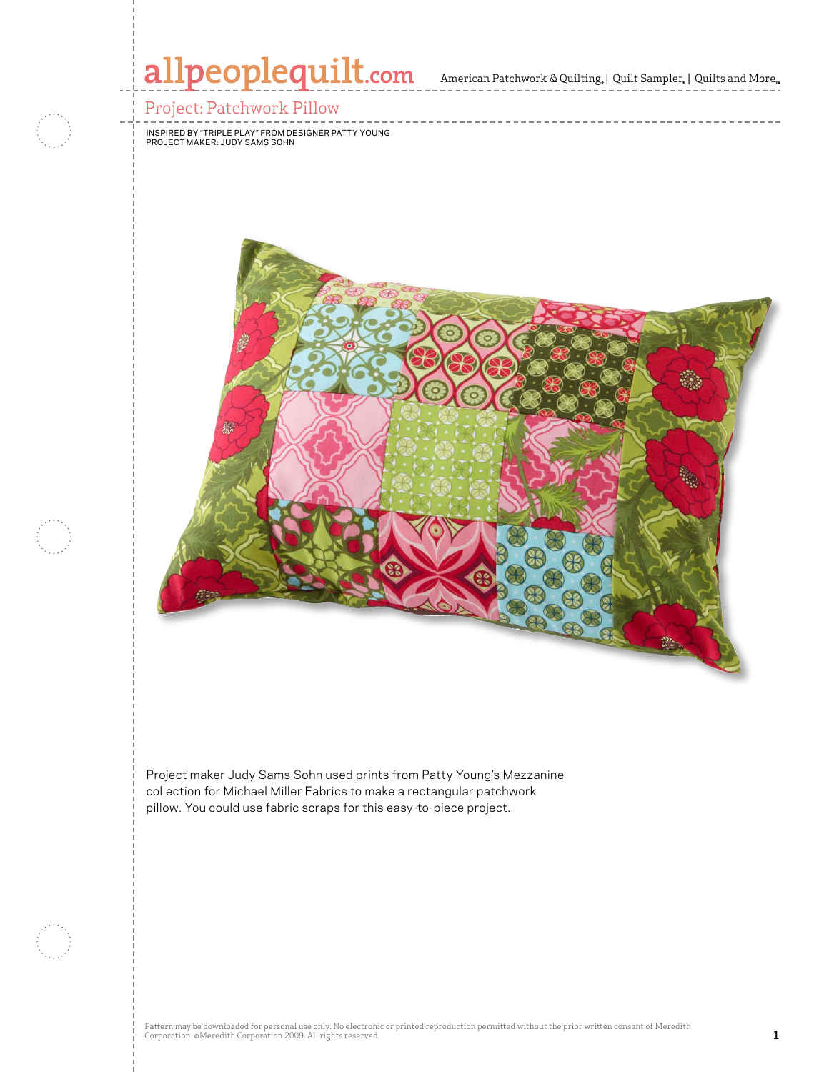

Project maker Judy Sams Sohn used prints from Patty Young's Mezzanine collection for Michael Miller Fabrics to make a rectangular patchwork pillow. You could use fabric scraps for this easy-to-piece project.